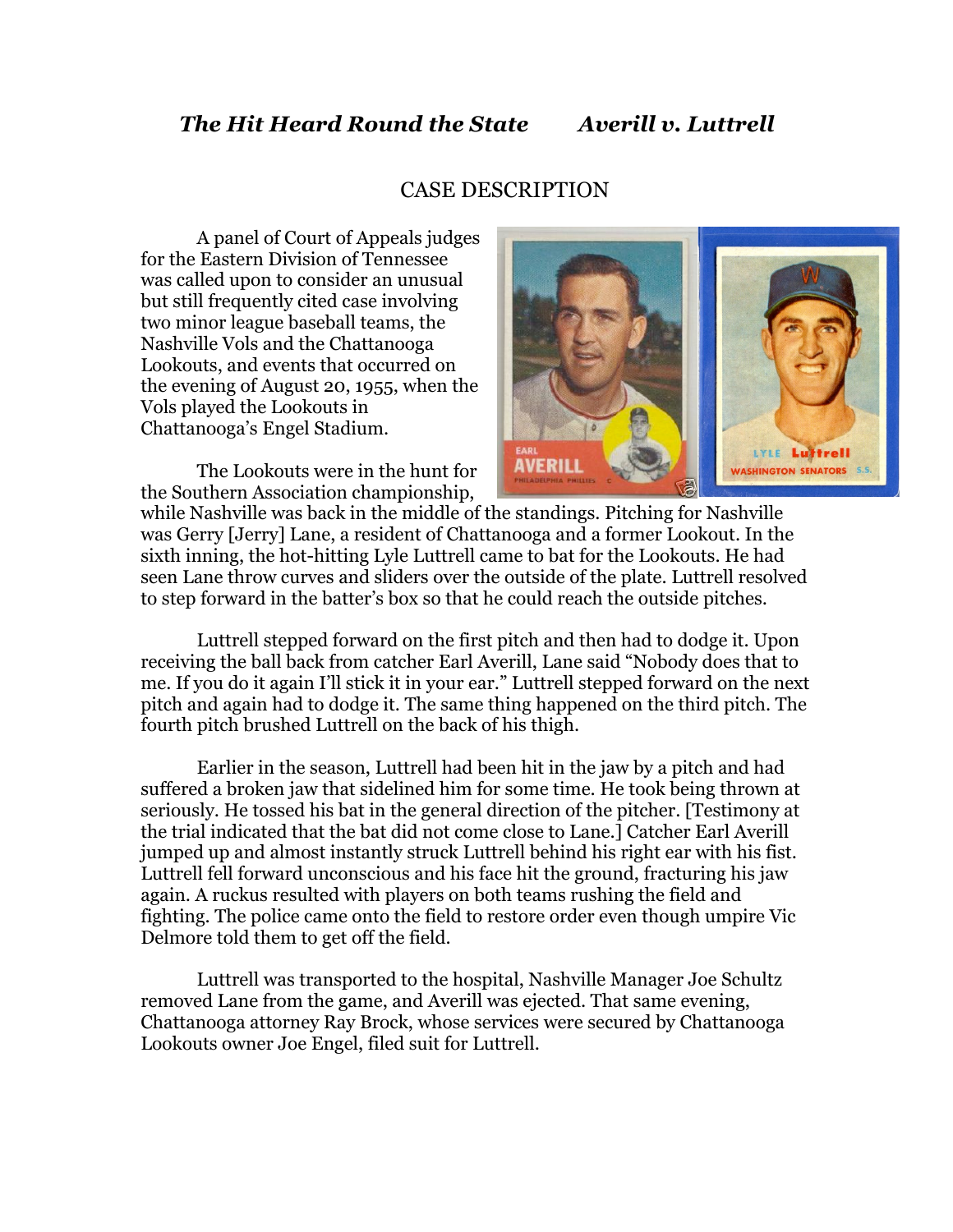# *The Hit Heard Round the State Averill v. Luttrell*

# CASE DESCRIPTION

A panel of Court of Appeals judges for the Eastern Division of Tennessee was called upon to consider an unusual but still frequently cited case involving two minor league baseball teams, the Nashville Vols and the Chattanooga Lookouts, and events that occurred on the evening of August 20, 1955, when the Vols played the Lookouts in Chattanooga's Engel Stadium.

The Lookouts were in the hunt for the Southern Association championship,



while Nashville was back in the middle of the standings. Pitching for Nashville was Gerry [Jerry] Lane, a resident of Chattanooga and a former Lookout. In the sixth inning, the hot-hitting Lyle Luttrell came to bat for the Lookouts. He had seen Lane throw curves and sliders over the outside of the plate. Luttrell resolved to step forward in the batter's box so that he could reach the outside pitches.

Luttrell stepped forward on the first pitch and then had to dodge it. Upon receiving the ball back from catcher Earl Averill, Lane said "Nobody does that to me. If you do it again I'll stick it in your ear." Luttrell stepped forward on the next pitch and again had to dodge it. The same thing happened on the third pitch. The fourth pitch brushed Luttrell on the back of his thigh.

Earlier in the season, Luttrell had been hit in the jaw by a pitch and had suffered a broken jaw that sidelined him for some time. He took being thrown at seriously. He tossed his bat in the general direction of the pitcher. [Testimony at the trial indicated that the bat did not come close to Lane.] Catcher Earl Averill jumped up and almost instantly struck Luttrell behind his right ear with his fist. Luttrell fell forward unconscious and his face hit the ground, fracturing his jaw again. A ruckus resulted with players on both teams rushing the field and fighting. The police came onto the field to restore order even though umpire Vic Delmore told them to get off the field.

Luttrell was transported to the hospital, Nashville Manager Joe Schultz removed Lane from the game, and Averill was ejected. That same evening, Chattanooga attorney Ray Brock, whose services were secured by Chattanooga Lookouts owner Joe Engel, filed suit for Luttrell.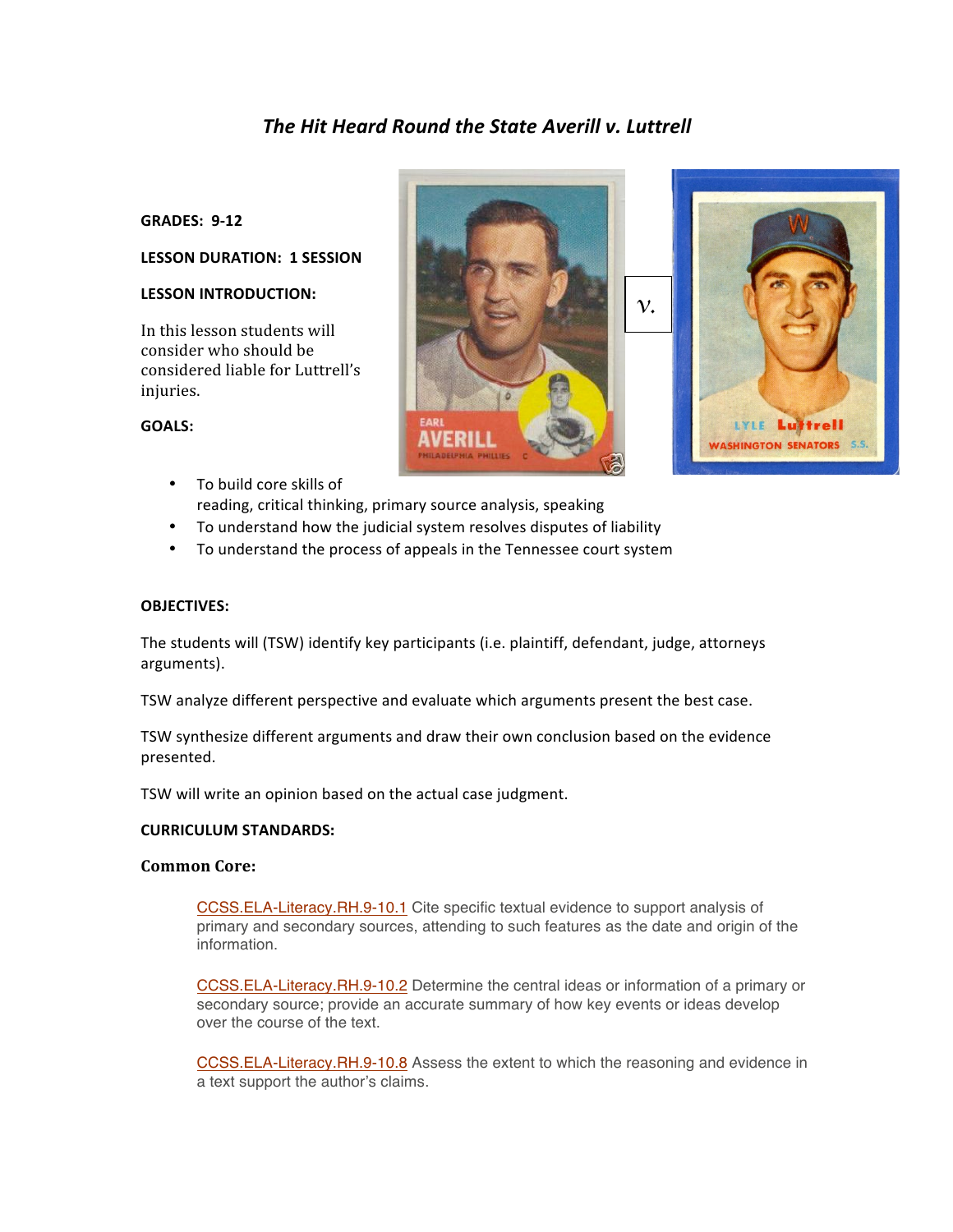# *The Hit Heard Round the State Averill v. Luttrell*

### **GRADES: 9‐12**

## **LESSON DURATION: 1 SESSION**

## **LESSON INTRODUCTION:**

In this lesson students will consider who should be considered liable for Luttrell's injuries.

## **GOALS:**

- To build core skills of
- reading, critical thinking, primary source analysis, speaking
- To understand how the judicial system resolves disputes of liability
- To understand the process of appeals in the Tennessee court system

#### **OBJECTIVES:**

The students will (TSW) identify key participants (i.e. plaintiff, defendant, judge, attorneys arguments).

TSW analyze different perspective and evaluate which arguments present the best case.

TSW synthesize different arguments and draw their own conclusion based on the evidence presented.

TSW will write an opinion based on the actual case judgment.

#### **CURRICULUM STANDARDS:**

#### **Common Core:**

CCSS.ELA-Literacy.RH.9-10.1 Cite specific textual evidence to support analysis of primary and secondary sources, attending to such features as the date and origin of the information.

CCSS.ELA-Literacy.RH.9-10.2 Determine the central ideas or information of a primary or secondary source; provide an accurate summary of how key events or ideas develop over the course of the text.

CCSS.ELA-Literacy.RH.9-10.8 Assess the extent to which the reasoning and evidence in a text support the author's claims.



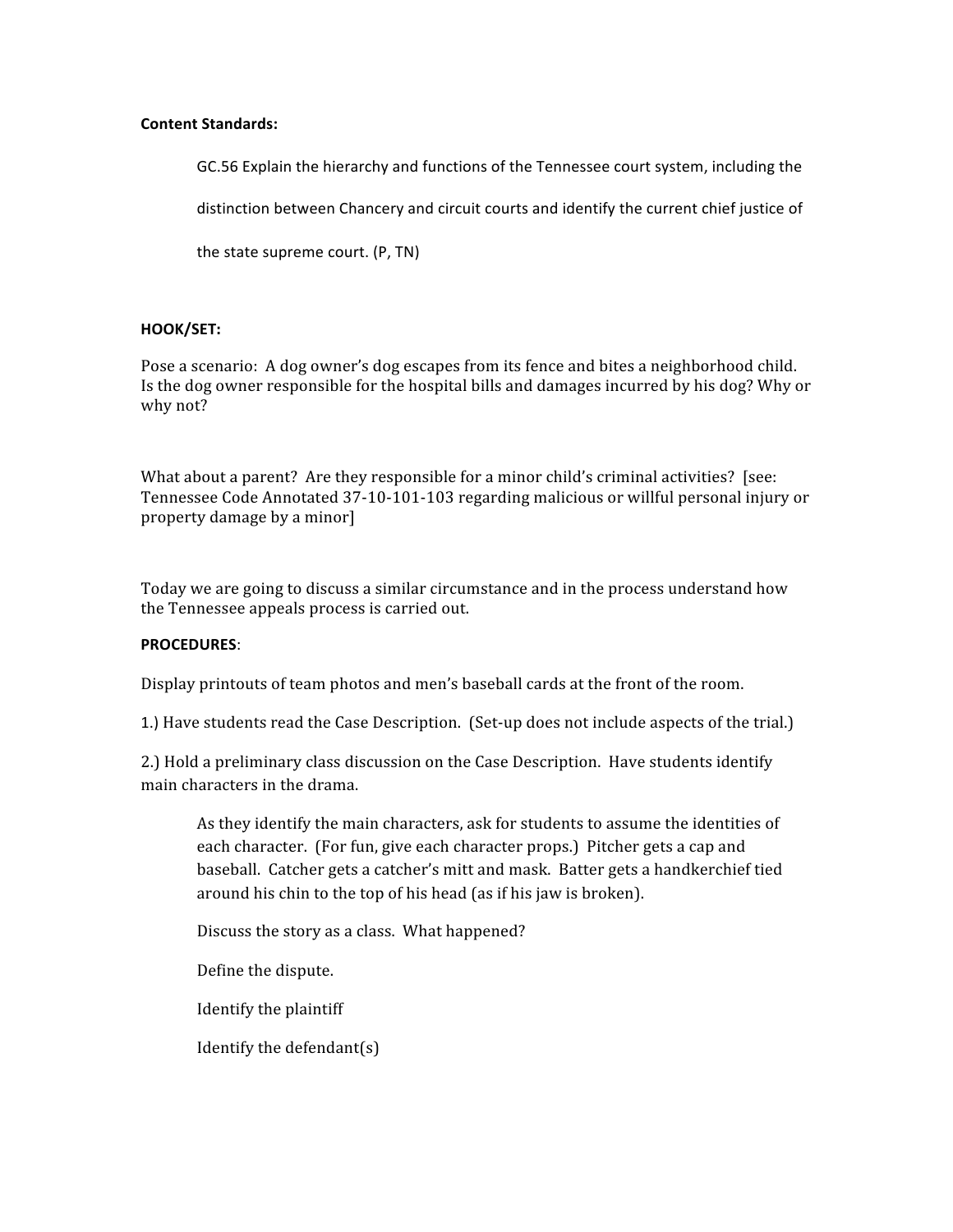## **Content Standards:**

GC.56 Explain the hierarchy and functions of the Tennessee court system, including the distinction between Chancery and circuit courts and identify the current chief justice of the state supreme court. (P, TN)

## **HOOK/SET:**

Pose a scenario: A dog owner's dog escapes from its fence and bites a neighborhood child. Is the dog owner responsible for the hospital bills and damages incurred by his dog? Why or why not?

What about a parent? Are they responsible for a minor child's criminal activities? [see: Tennessee Code Annotated 37‐10‐101‐103 regarding malicious or willful personal injury or property damage by a minor]

Today we are going to discuss a similar circumstance and in the process understand how the Tennessee appeals process is carried out.

## **PROCEDURES**:

Display printouts of team photos and men's baseball cards at the front of the room.

1.) Have students read the Case Description. (Set-up does not include aspects of the trial.)

2.) Hold a preliminary class discussion on the Case Description. Have students identify main characters in the drama.

As they identify the main characters, ask for students to assume the identities of each character. (For fun, give each character props.) Pitcher gets a cap and baseball. Catcher gets a catcher's mitt and mask. Batter gets a handkerchief tied around his chin to the top of his head (as if his jaw is broken).

Discuss the story as a class. What happened?

Define the dispute.

Identify the plaintiff

Identify the defendant(s)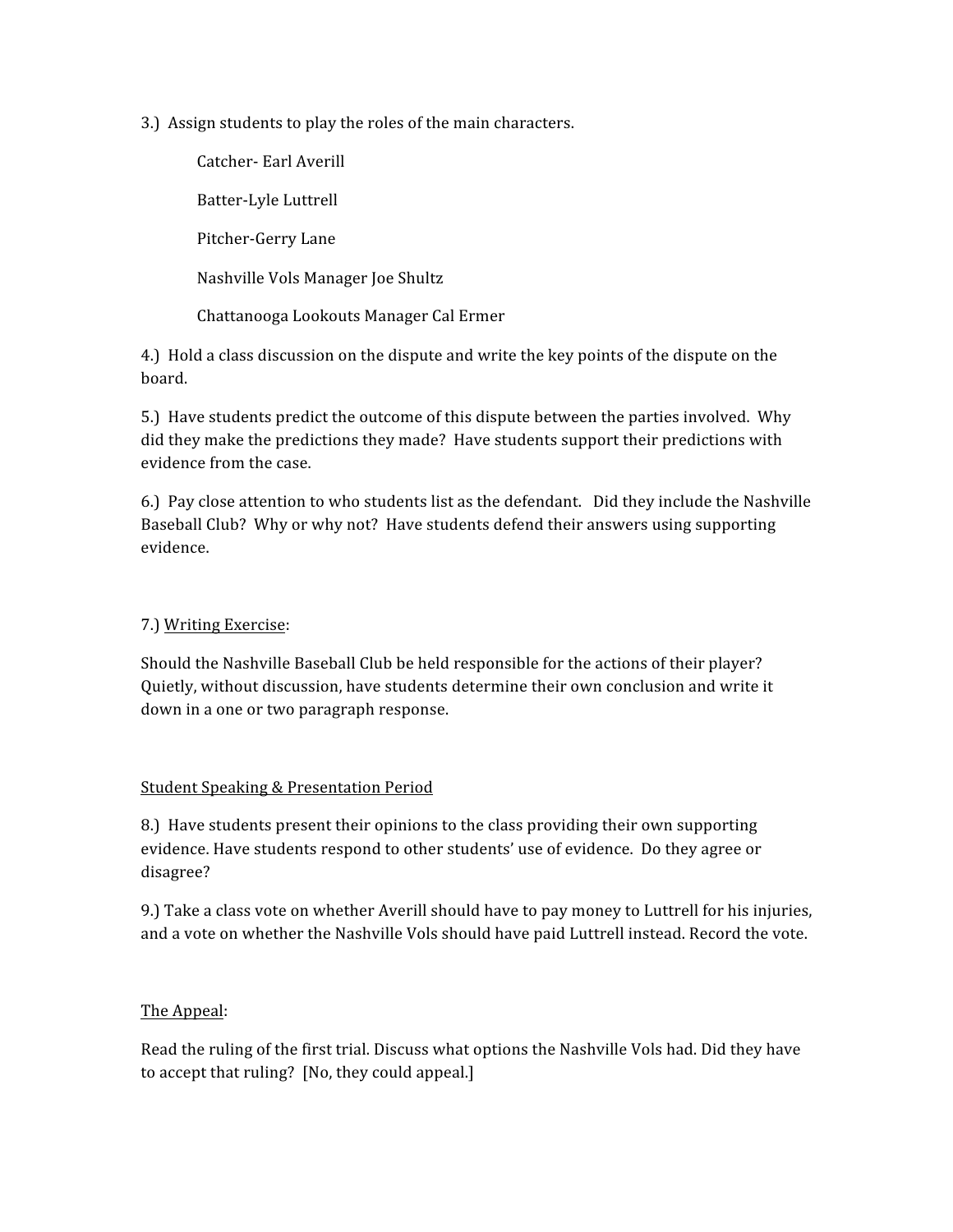3.) Assign students to play the roles of the main characters.

Catcher‐ Earl Averill Batter‐Lyle Luttrell Pitcher‐Gerry Lane Nashville Vols Manager Joe Shultz Chattanooga Lookouts Manager Cal Ermer

4.) Hold a class discussion on the dispute and write the key points of the dispute on the board.

5.) Have students predict the outcome of this dispute between the parties involved. Why did they make the predictions they made? Have students support their predictions with evidence from the case.

6.) Pay close attention to who students list as the defendant. Did they include the Nashville Baseball Club? Why or why not? Have students defend their answers using supporting evidence.

# 7.) Writing Exercise:

Should the Nashville Baseball Club be held responsible for the actions of their player? Quietly, without discussion, have students determine their own conclusion and write it down in a one or two paragraph response.

# Student Speaking & Presentation Period

8.) Have students present their opinions to the class providing their own supporting evidence. Have students respond to other students' use of evidence. Do they agree or disagree?

9.) Take a class vote on whether Averill should have to pay money to Luttrell for his injuries, and a vote on whether the Nashville Vols should have paid Luttrell instead. Record the vote.

# The Appeal:

Read the ruling of the first trial. Discuss what options the Nashville Vols had. Did they have to accept that ruling? [No, they could appeal.]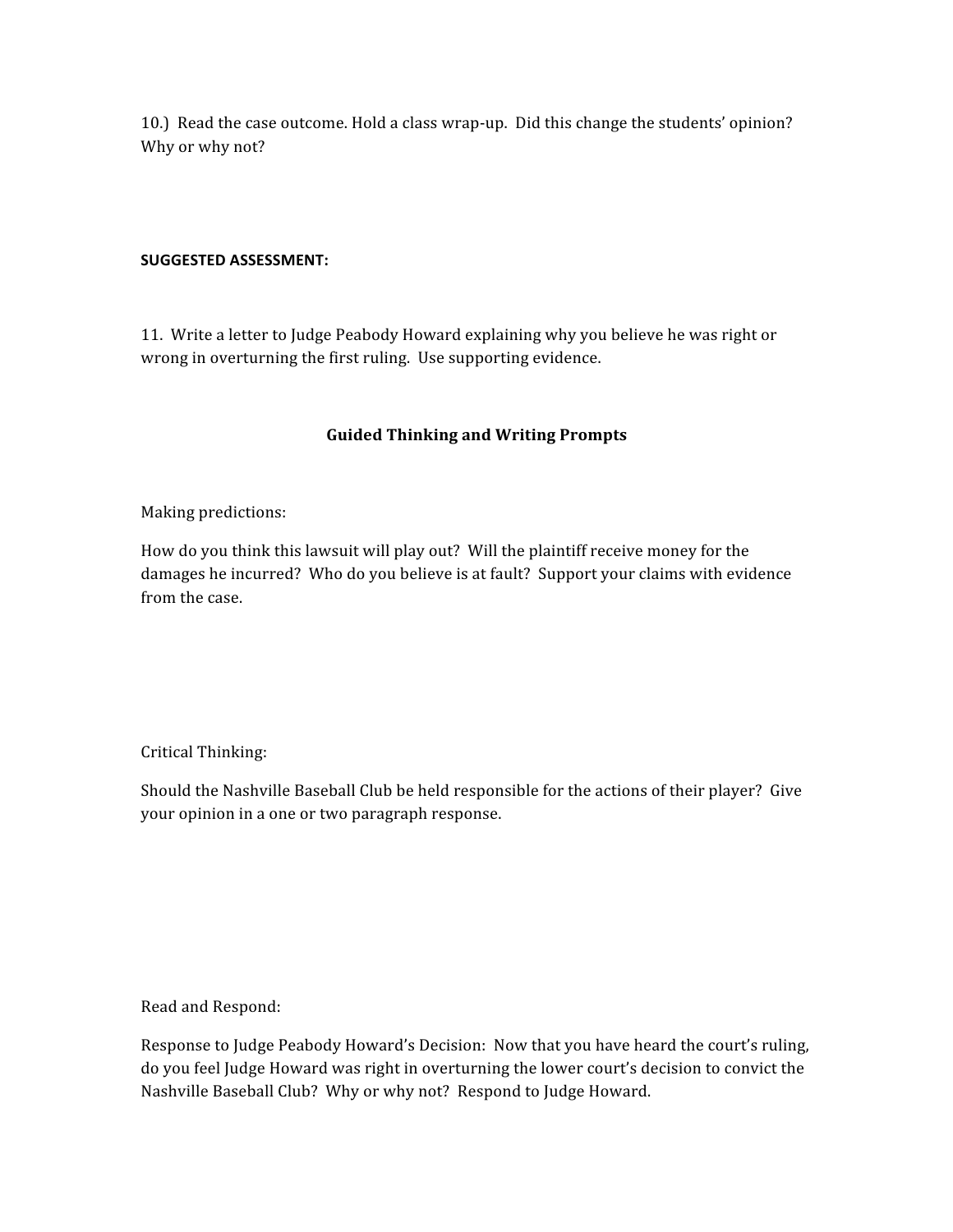10.) Read the case outcome. Hold a class wrap‐up. Did this change the students' opinion? Why or why not?

## **SUGGESTED ASSESSMENT:**

11. Write a letter to Judge Peabody Howard explaining why you believe he was right or wrong in overturning the first ruling. Use supporting evidence.

# **Guided Thinking and Writing Prompts**

Making predictions:

How do you think this lawsuit will play out? Will the plaintiff receive money for the damages he incurred? Who do you believe is at fault? Support your claims with evidence from the case.

Critical Thinking:

Should the Nashville Baseball Club be held responsible for the actions of their player? Give your opinion in a one or two paragraph response.

Read and Respond:

Response to Judge Peabody Howard's Decision: Now that you have heard the court's ruling, do you feel Judge Howard was right in overturning the lower court's decision to convict the Nashville Baseball Club? Why or why not? Respond to Judge Howard.